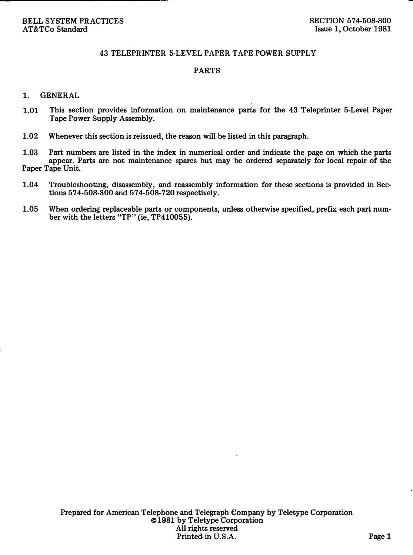## 43 TELEPRINTER 5-LEVEL PAPER TAPE POWER SUPPLY

## PARTS

## 1. GENERAL

- 1.01 This section provides information on maintenance parts for the 43 Teleprinter 5-Level Paper Tape Power Supply Assembly.
- 1.02 Whenever this section is reissued, the reason will be listed in this paragraph.

1.03 Part numbers are listed in the index in numerical order and indicate the page on which the parts appear. Parts are not maintenance spares but may be ordered separately for local repair of the Paper Tape Unit.

- 1.04 Troubleshooting, disassembly, and reassembly information for these sections is provided in Sections 574-508-300 and 574-508-720 respectively.
- 1.05 When ordering replaceable parts or components, unless otherwise specified, prefix each part number with the letters "TP" (ie, TP410055).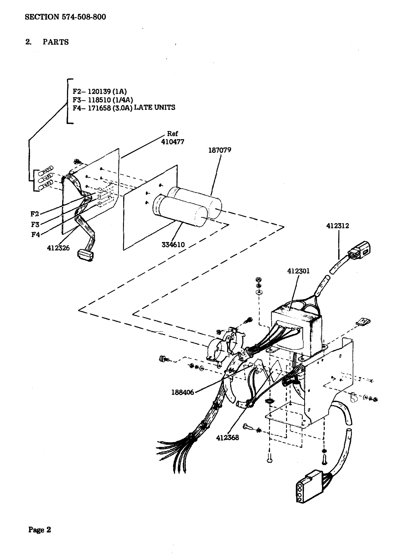2. PARTS